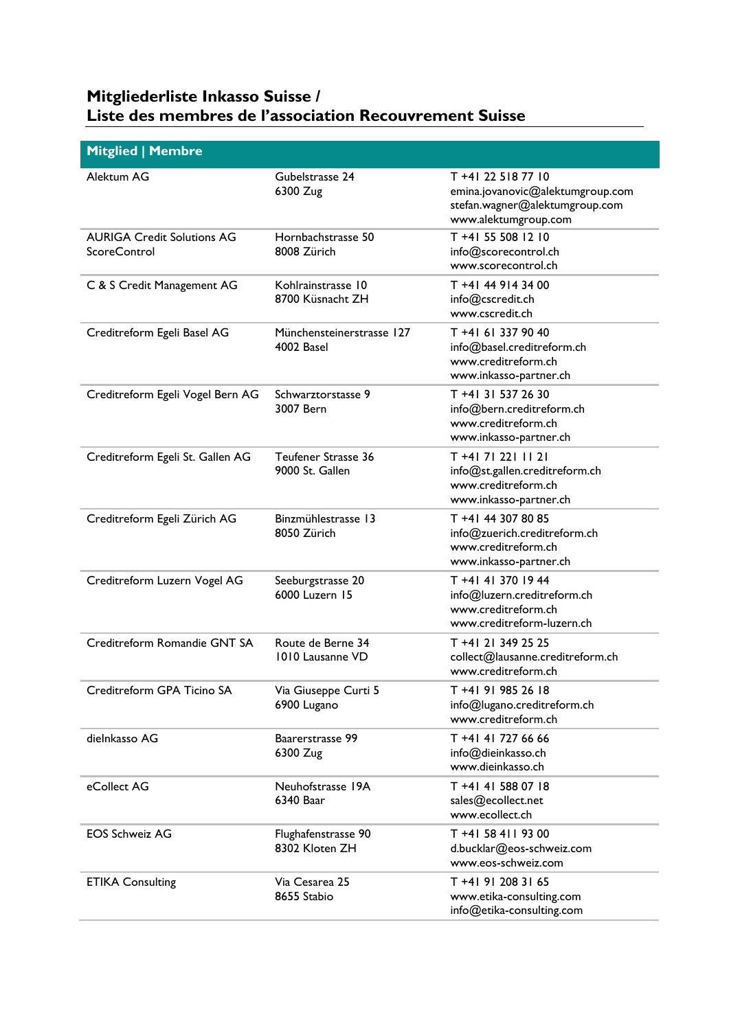## **Mitgliederliste Inkasso Suisse / Liste des membres de l'association Recouvrement Suisse**

| <b>Mitglied   Membre</b>                                 |                                         |                                                                                                                  |
|----------------------------------------------------------|-----------------------------------------|------------------------------------------------------------------------------------------------------------------|
| Alektum AG                                               | Gubelstrasse 24<br>6300 Zug             | T +41 22 518 77 10<br>emina.jovanovic@alektumgroup.com<br>stefan.wagner@alektumgroup.com<br>www.alektumgroup.com |
| <b>AURIGA Credit Solutions AG</b><br><b>ScoreControl</b> | Hornbachstrasse 50<br>8008 Zürich       | T +41 55 508 12 10<br>info@scorecontrol.ch<br>www.scorecontrol.ch                                                |
| C & S Credit Management AG                               | Kohlrainstrasse 10<br>8700 Küsnacht ZH  | T +41 44 914 34 00<br>info@cscredit.ch<br>www.cscredit.ch                                                        |
| Creditreform Egeli Basel AG                              | Münchensteinerstrasse 127<br>4002 Basel | T +41 61 337 90 40<br>info@basel.creditreform.ch<br>www.creditreform.ch<br>www.inkasso-partner.ch                |
| Creditreform Egeli Vogel Bern AG                         | Schwarztorstasse 9<br>3007 Bern         | T +41 31 537 26 30<br>info@bern.creditreform.ch<br>www.creditreform.ch<br>www.inkasso-partner.ch                 |
| Creditreform Egeli St. Gallen AG                         | Teufener Strasse 36<br>9000 St. Gallen  | T +41 71 221 11 21<br>info@st.gallen.creditreform.ch<br>www.creditreform.ch<br>www.inkasso-partner.ch            |
| Creditreform Egeli Zürich AG                             | Binzmühlestrasse 13<br>8050 Zürich      | T +41 44 307 80 85<br>info@zuerich.creditreform.ch<br>www.creditreform.ch<br>www.inkasso-partner.ch              |
| Creditreform Luzern Vogel AG                             | Seeburgstrasse 20<br>6000 Luzern 15     | T +41 41 370 19 44<br>info@luzern.creditreform.ch<br>www.creditreform.ch<br>www.creditreform-luzern.ch           |
| Creditreform Romandie GNT SA                             | Route de Berne 34<br>1010 Lausanne VD   | T +41 21 349 25 25<br>collect@lausanne.creditreform.ch<br>www.creditreform.ch                                    |
| Creditreform GPA Ticino SA                               | Via Giuseppe Curti 5<br>6900 Lugano     | T +41 91 985 26 18<br>info@lugano.creditreform.ch<br>www.creditreform.ch                                         |
| dielnkasso AG                                            | Baarerstrasse 99<br>6300 Zug            | T +41 41 727 66 66<br>info@dieinkasso.ch<br>www.dieinkasso.ch                                                    |
| eCollect AG                                              | Neuhofstrasse 19A<br>6340 Baar          | T +41 41 588 07 18<br>sales@ecollect.net<br>www.ecollect.ch                                                      |
| <b>EOS Schweiz AG</b>                                    | Flughafenstrasse 90<br>8302 Kloten ZH   | T +41 58 411 93 00<br>d.bucklar@eos-schweiz.com<br>www.eos-schweiz.com                                           |
| <b>ETIKA Consulting</b>                                  | Via Cesarea 25<br>8655 Stabio           | T +41 91 208 31 65<br>www.etika-consulting.com<br>info@etika-consulting.com                                      |